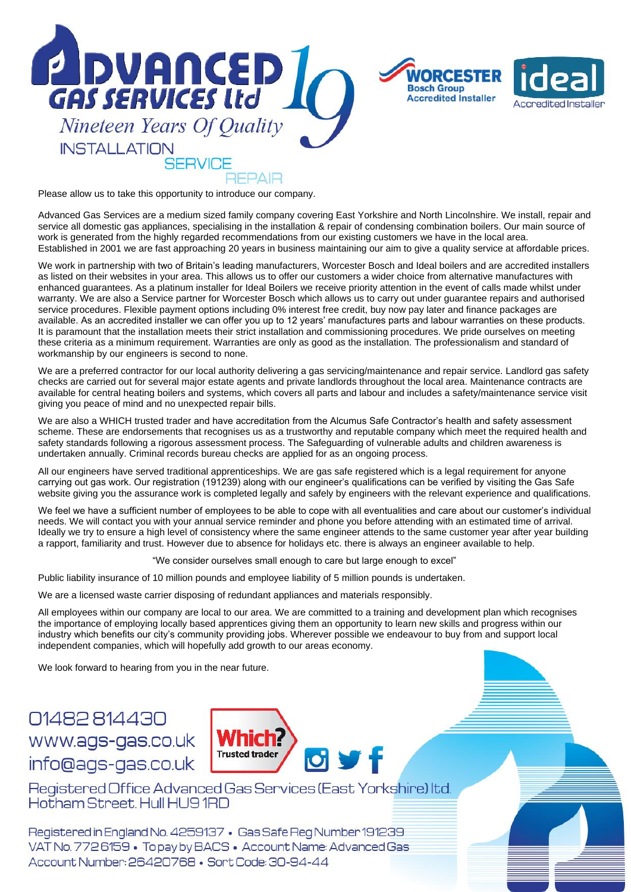



Please allow us to take this opportunity to introduce our company.

Advanced Gas Services are a medium sized family company covering East Yorkshire and North Lincolnshire. We install, repair and service all domestic gas appliances, specialising in the installation & repair of condensing combination boilers. Our main source of work is generated from the highly regarded recommendations from our existing customers we have in the local area. Established in 2001 we are fast approaching 20 years in business maintaining our aim to give a quality service at affordable prices.

We work in partnership with two of Britain's leading manufacturers, Worcester Bosch and Ideal boilers and are accredited installers as listed on their websites in your area. This allows us to offer our customers a wider choice from alternative manufactures with enhanced guarantees. As a platinum installer for Ideal Boilers we receive priority attention in the event of calls made whilst under warranty. We are also a Service partner for Worcester Bosch which allows us to carry out under guarantee repairs and authorised service procedures. Flexible payment options including 0% interest free credit, buy now pay later and finance packages are available. As an accredited installer we can offer you up to 12 years' manufactures parts and labour warranties on these products. It is paramount that the installation meets their strict installation and commissioning procedures. We pride ourselves on meeting these criteria as a minimum requirement. Warranties are only as good as the installation. The professionalism and standard of workmanship by our engineers is second to none.

We are a preferred contractor for our local authority delivering a gas servicing/maintenance and repair service. Landlord gas safety checks are carried out for several major estate agents and private landlords throughout the local area. Maintenance contracts are available for central heating boilers and systems, which covers all parts and labour and includes a safety/maintenance service visit giving you peace of mind and no unexpected repair bills.

We are also a WHICH trusted trader and have accreditation from the Alcumus Safe Contractor's health and safety assessment scheme. These are endorsements that recognises us as a trustworthy and reputable company which meet the required health and safety standards following a rigorous assessment process. The Safeguarding of vulnerable adults and children awareness is undertaken annually. Criminal records bureau checks are applied for as an ongoing process.

All our engineers have served traditional apprenticeships. We are gas safe registered which is a legal requirement for anyone carrying out gas work. Our registration (191239) along with our engineer's qualifications can be verified by visiting the Gas Safe website giving you the assurance work is completed legally and safely by engineers with the relevant experience and qualifications.

We feel we have a sufficient number of employees to be able to cope with all eventualities and care about our customer's individual needs. We will contact you with your annual service reminder and phone you before attending with an estimated time of arrival. Ideally we try to ensure a high level of consistency where the same engineer attends to the same customer year after year building a rapport, familiarity and trust. However due to absence for holidays etc. there is always an engineer available to help.

"We consider ourselves small enough to care but large enough to excel"

Public liability insurance of 10 million pounds and employee liability of 5 million pounds is undertaken.

We are a licensed waste carrier disposing of redundant appliances and materials responsibly.

All employees within our company are local to our area. We are committed to a training and development plan which recognises the importance of employing locally based apprentices giving them an opportunity to learn new skills and progress within our industry which benefits our city's community providing jobs. Wherever possible we endeavour to buy from and support local independent companies, which will hopefully add growth to our areas economy.

We look forward to hearing from you in the near future.

# 01482814430 www.ags-gas.co.uk info@ags-gas.co.uk



Registered Office Advanced Gas Services (East Yorkshire) Itd. Hotham Street, Hull HU9 1RD

Registered in England No. 4259137 • Gas Safe Reg Number 191239 VAT No. 7726159 · To pay by BACS · Account Name: Advanced Gas Account Number: 26420768 · Sort Code: 30-94-44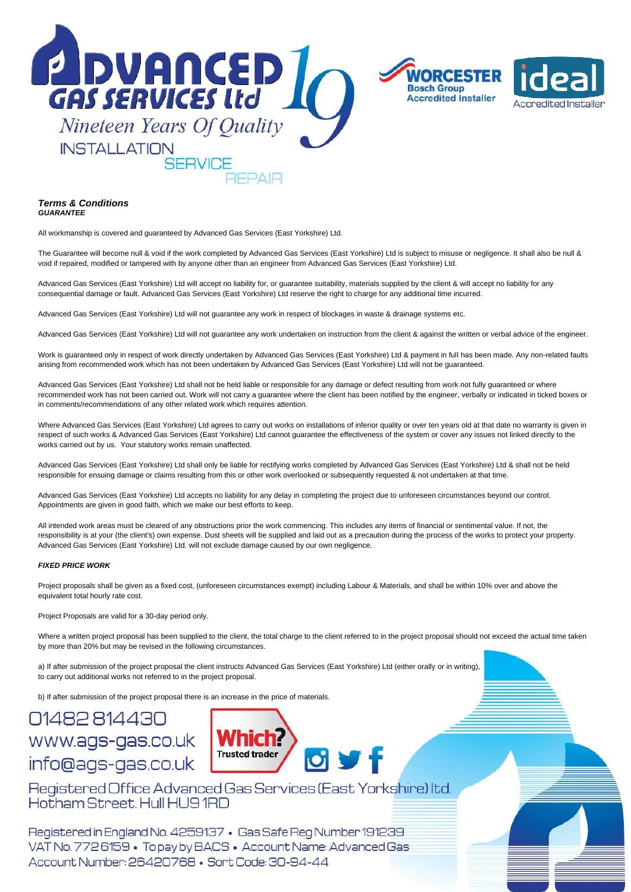

#### *Terms & Conditions GUARANTEE*

All workmanship is covered and guaranteed by Advanced Gas Services (East Yorkshire) Ltd.

The Guarantee will become null & void if the work completed by Advanced Gas Services (East Yorkshire) Ltd is subject to misuse or negligence. It shall also be null & void if repaired, modified or tampered with by anyone other than an engineer from Advanced Gas Services (East Yorkshire) Ltd.

Advanced Gas Services (East Yorkshire) Ltd will accept no liability for, or guarantee suitability, materials supplied by the client & will accept no liability for any consequential damage or fault. Advanced Gas Services (East Yorkshire) Ltd reserve the right to charge for any additional time incurred.

Advanced Gas Services (East Yorkshire) Ltd will not guarantee any work in respect of blockages in waste & drainage systems etc.

Advanced Gas Services (East Yorkshire) Ltd will not guarantee any work undertaken on instruction from the client & against the written or verbal advice of the engineer.

Work is guaranteed only in respect of work directly undertaken by Advanced Gas Services (East Yorkshire) Ltd & payment in full has been made. Any non-related faults arising from recommended work which has not been undertaken by Advanced Gas Services (East Yorkshire) Ltd will not be guaranteed.

Advanced Gas Services (East Yorkshire) Ltd shall not be held liable or responsible for any damage or defect resulting from work not fully guaranteed or where recommended work has not been carried out. Work will not carry a guarantee where the client has been notified by the engineer, verbally or indicated in ticked boxes or in comments/recommendations of any other related work which requires attention.

Where Advanced Gas Services (East Yorkshire) Ltd agrees to carry out works on installations of inferior quality or over ten years old at that date no warranty is given in respect of such works & Advanced Gas Services (East Yorkshire) Ltd cannot guarantee the effectiveness of the system or cover any issues not linked directly to the works carried out by us. Your statutory works remain unaffected.

Advanced Gas Services (East Yorkshire) Ltd shall only be liable for rectifying works completed by Advanced Gas Services (East Yorkshire) Ltd & shall not be held responsible for ensuing damage or claims resulting from this or other work overlooked or subsequently requested & not undertaken at that time.

Advanced Gas Services (East Yorkshire) Ltd accepts no liability for any delay in completing the project due to unforeseen circumstances beyond our control. Appointments are given in good faith, which we make our best efforts to keep.

All intended work areas must be cleared of any obstructions prior the work commencing. This includes any items of financial or sentimental value. If not, the responsibility is at your (the client's) own expense. Dust sheets will be supplied and laid out as a precaution during the process of the works to protect your property. Advanced Gas Services (East Yorkshire) Ltd. will not exclude damage caused by our own negligence.

#### *FIXED PRICE WORK*

Project proposals shall be given as a fixed cost, (unforeseen circumstances exempt) including Labour & Materials, and shall be within 10% over and above the equivalent total hourly rate cost.

Project Proposals are valid for a 30-day period only.

Where a written project proposal has been supplied to the client, the total charge to the client referred to in the project proposal should not exceed the actual time taken by more than 20% but may be revised in the following circumstances.

a) If after submission of the project proposal the client instructs Advanced Gas Services (East Yorkshire) Ltd (either orally or in writing), to carry out additional works not referred to in the project proposal.

b) If after submission of the project proposal there is an increase in the price of materials.

# 01482814430 www.ags-gas.co.uk info@ags-gas.co.uk



Registered Office Advanced Gas Services (East Yorkshire) Itd. Hotham Street, Hull HU9 1RD

Registered in England No. 4259137 · Gas Safe Reg Number 191239 VAT No. 7726159 · To pay by BACS · Account Name: Advanced Gas Account Number: 26420768 · Sort Code: 30-94-44